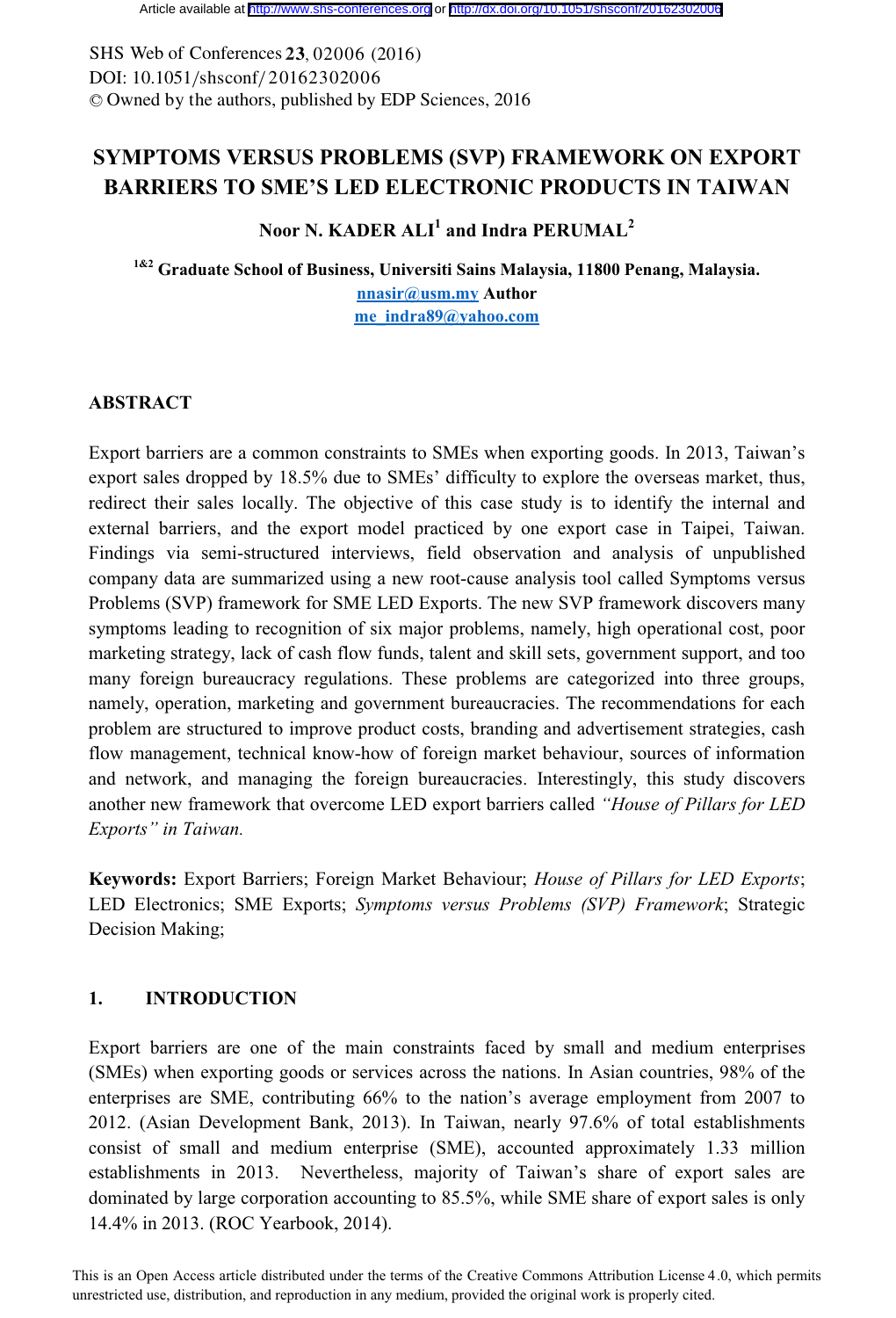DOI: 10.1051/shsconf/20162302006 -<sup>C</sup> Owned by the authors, published by EDP Sciences, 201 6 SHS Web of Conferences 23, 02006 (2016)

# **SYMPTOMS VERSUS PROBLEMS (SVP) FRAMEWORK ON EXPORT BARRIERS TO SME'S LED ELECTRONIC PRODUCTS IN TAIWAN**

# **Noor N. KADER ALI<sup>1</sup> and Indra PERUMAL<sup>2</sup>**

**1&2 Graduate School of Business, Universiti Sains Malaysia, 11800 Penang, Malaysia. nnasir@usm.my Author me\_indra89@yahoo.com** 

### **ABSTRACT**

Export barriers are a common constraints to SMEs when exporting goods. In 2013, Taiwan's export sales dropped by 18.5% due to SMEs' difficulty to explore the overseas market, thus, redirect their sales locally. The objective of this case study is to identify the internal and external barriers, and the export model practiced by one export case in Taipei, Taiwan. Findings via semi-structured interviews, field observation and analysis of unpublished company data are summarized using a new root-cause analysis tool called Symptoms versus Problems (SVP) framework for SME LED Exports. The new SVP framework discovers many symptoms leading to recognition of six major problems, namely, high operational cost, poor marketing strategy, lack of cash flow funds, talent and skill sets, government support, and too many foreign bureaucracy regulations. These problems are categorized into three groups, namely, operation, marketing and government bureaucracies. The recommendations for each problem are structured to improve product costs, branding and advertisement strategies, cash flow management, technical know-how of foreign market behaviour, sources of information and network, and managing the foreign bureaucracies. Interestingly, this study discovers another new framework that overcome LED export barriers called *"House of Pillars for LED Exports" in Taiwan.*

**Keywords:** Export Barriers; Foreign Market Behaviour; *House of Pillars for LED Exports*; LED Electronics; SME Exports; *Symptoms versus Problems (SVP) Framework*; Strategic Decision Making;

#### **1. INTRODUCTION**

Export barriers are one of the main constraints faced by small and medium enterprises (SMEs) when exporting goods or services across the nations. In Asian countries, 98% of the enterprises are SME, contributing 66% to the nation's average employment from 2007 to 2012. (Asian Development Bank, 2013). In Taiwan, nearly 97.6% of total establishments consist of small and medium enterprise (SME), accounted approximately 1.33 million establishments in 2013. Nevertheless, majority of Taiwan's share of export sales are dominated by large corporation accounting to 85.5%, while SME share of export sales is only 14.4% in 2013. (ROC Yearbook, 2014).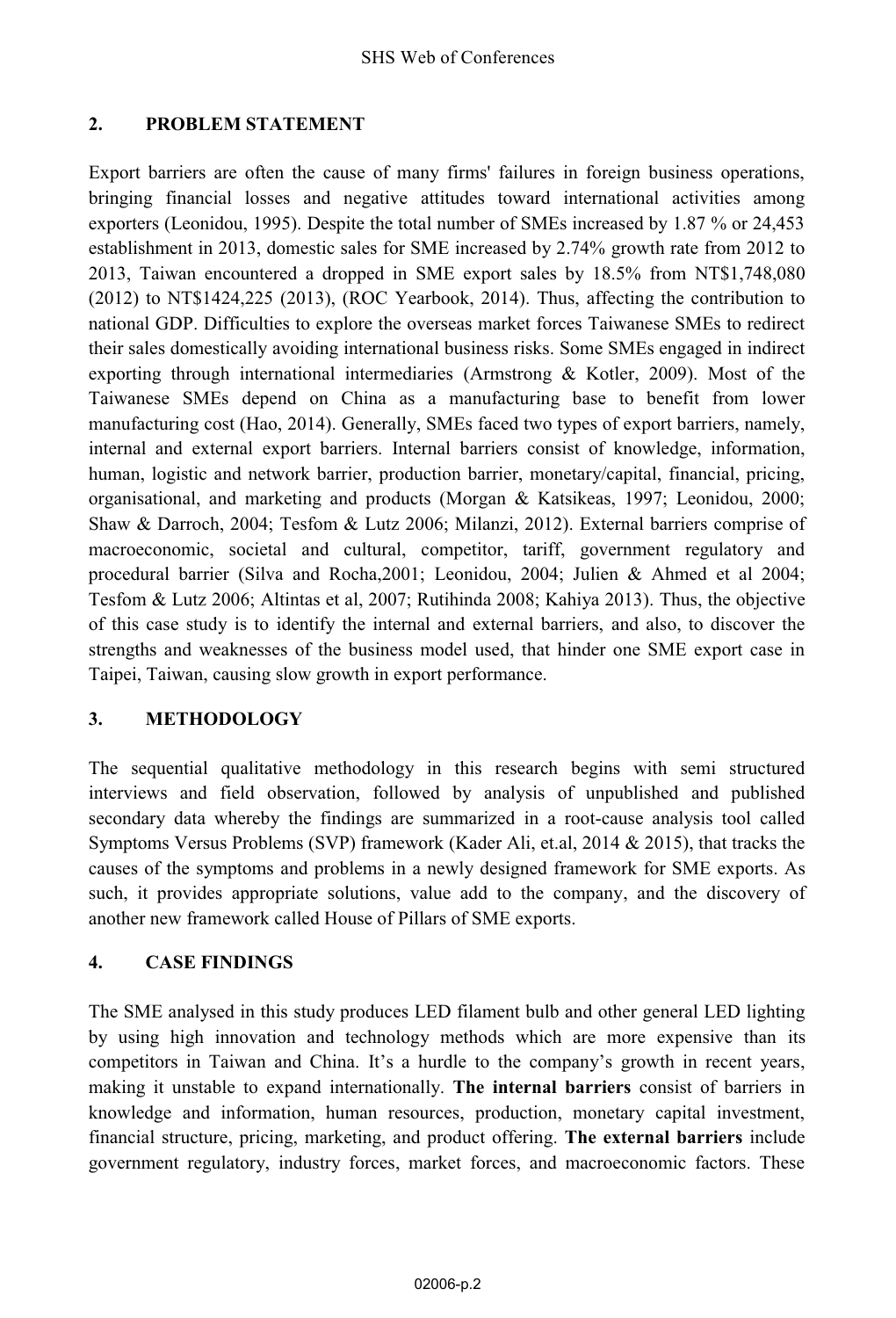# **2. PROBLEM STATEMENT**

Export barriers are often the cause of many firms' failures in foreign business operations, bringing financial losses and negative attitudes toward international activities among exporters (Leonidou, 1995). Despite the total number of SMEs increased by 1.87 % or 24,453 establishment in 2013, domestic sales for SME increased by 2.74% growth rate from 2012 to 2013, Taiwan encountered a dropped in SME export sales by 18.5% from NT\$1,748,080 (2012) to NT\$1424,225 (2013), (ROC Yearbook, 2014). Thus, affecting the contribution to national GDP. Difficulties to explore the overseas market forces Taiwanese SMEs to redirect their sales domestically avoiding international business risks. Some SMEs engaged in indirect exporting through international intermediaries (Armstrong & Kotler, 2009). Most of the Taiwanese SMEs depend on China as a manufacturing base to benefit from lower manufacturing cost (Hao, 2014). Generally, SMEs faced two types of export barriers, namely, internal and external export barriers. Internal barriers consist of knowledge, information, human, logistic and network barrier, production barrier, monetary/capital, financial, pricing, organisational, and marketing and products (Morgan & Katsikeas, 1997; Leonidou, 2000; Shaw & Darroch, 2004; Tesfom & Lutz 2006; Milanzi, 2012). External barriers comprise of macroeconomic, societal and cultural, competitor, tariff, government regulatory and procedural barrier (Silva and Rocha,2001; Leonidou, 2004; Julien & Ahmed et al 2004; Tesfom & Lutz 2006; Altintas et al, 2007; Rutihinda 2008; Kahiya 2013). Thus, the objective of this case study is to identify the internal and external barriers, and also, to discover the strengths and weaknesses of the business model used, that hinder one SME export case in Taipei, Taiwan, causing slow growth in export performance.

### **3. METHODOLOGY**

The sequential qualitative methodology in this research begins with semi structured interviews and field observation, followed by analysis of unpublished and published secondary data whereby the findings are summarized in a root-cause analysis tool called Symptoms Versus Problems (SVP) framework (Kader Ali, et.al, 2014 & 2015), that tracks the causes of the symptoms and problems in a newly designed framework for SME exports. As such, it provides appropriate solutions, value add to the company, and the discovery of another new framework called House of Pillars of SME exports.

### **4. CASE FINDINGS**

The SME analysed in this study produces LED filament bulb and other general LED lighting by using high innovation and technology methods which are more expensive than its competitors in Taiwan and China. It's a hurdle to the company's growth in recent years, making it unstable to expand internationally. **The internal barriers** consist of barriers in knowledge and information, human resources, production, monetary capital investment, financial structure, pricing, marketing, and product offering. **The external barriers** include government regulatory, industry forces, market forces, and macroeconomic factors. These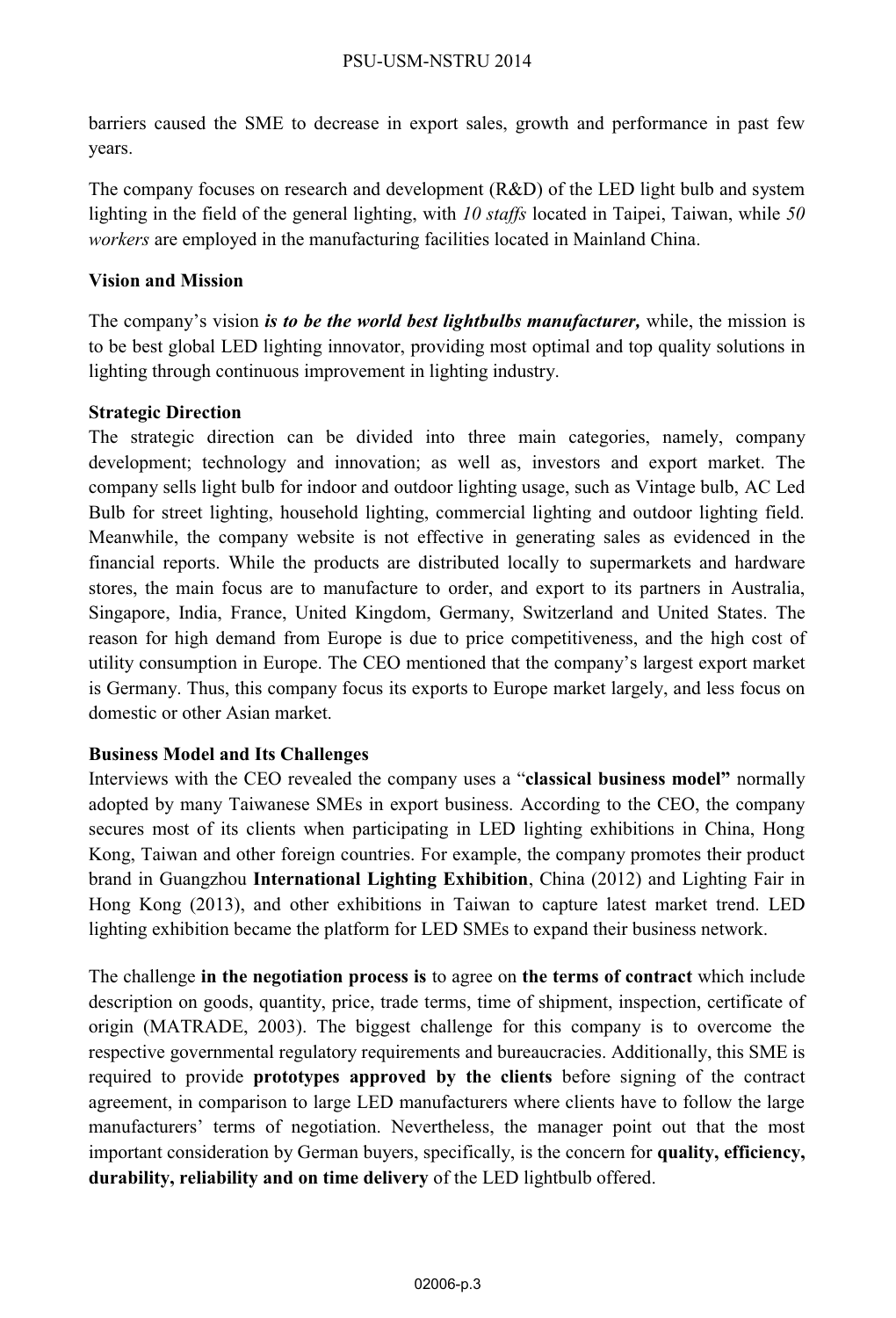barriers caused the SME to decrease in export sales, growth and performance in past few years.

The company focuses on research and development (R&D) of the LED light bulb and system lighting in the field of the general lighting, with *10 staffs* located in Taipei, Taiwan, while *50 workers* are employed in the manufacturing facilities located in Mainland China.

### **Vision and Mission**

The company's vision *is to be the world best lightbulbs manufacturer,* while, the mission is to be best global LED lighting innovator, providing most optimal and top quality solutions in lighting through continuous improvement in lighting industry.

### **Strategic Direction**

The strategic direction can be divided into three main categories, namely, company development; technology and innovation; as well as, investors and export market. The company sells light bulb for indoor and outdoor lighting usage, such as Vintage bulb, AC Led Bulb for street lighting, household lighting, commercial lighting and outdoor lighting field. Meanwhile, the company website is not effective in generating sales as evidenced in the financial reports. While the products are distributed locally to supermarkets and hardware stores, the main focus are to manufacture to order, and export to its partners in Australia, Singapore, India, France, United Kingdom, Germany, Switzerland and United States. The reason for high demand from Europe is due to price competitiveness, and the high cost of utility consumption in Europe. The CEO mentioned that the company's largest export market is Germany. Thus, this company focus its exports to Europe market largely, and less focus on domestic or other Asian market.

### **Business Model and Its Challenges**

Interviews with the CEO revealed the company uses a "**classical business model"** normally adopted by many Taiwanese SMEs in export business. According to the CEO, the company secures most of its clients when participating in LED lighting exhibitions in China, Hong Kong, Taiwan and other foreign countries. For example, the company promotes their product brand in Guangzhou **International Lighting Exhibition**, China (2012) and Lighting Fair in Hong Kong (2013), and other exhibitions in Taiwan to capture latest market trend. LED lighting exhibition became the platform for LED SMEs to expand their business network.

The challenge **in the negotiation process is** to agree on **the terms of contract** which include description on goods, quantity, price, trade terms, time of shipment, inspection, certificate of origin (MATRADE, 2003). The biggest challenge for this company is to overcome the respective governmental regulatory requirements and bureaucracies. Additionally, this SME is required to provide **prototypes approved by the clients** before signing of the contract agreement, in comparison to large LED manufacturers where clients have to follow the large manufacturers' terms of negotiation. Nevertheless, the manager point out that the most important consideration by German buyers, specifically, is the concern for **quality, efficiency, durability, reliability and on time delivery** of the LED lightbulb offered.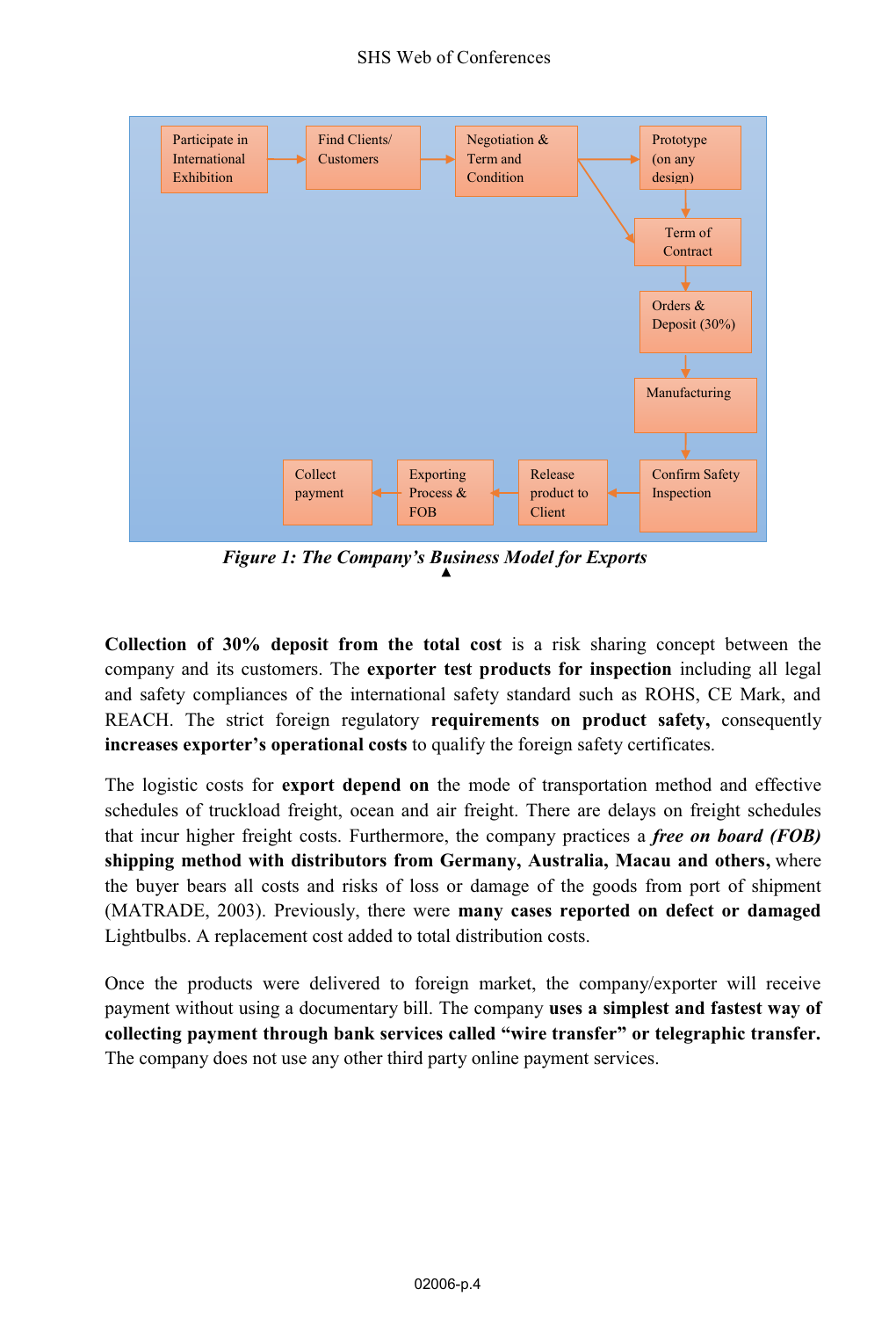

*Figure 1: The Company's Business Model for Exports* 

**Collection of 30% deposit from the total cost** is a risk sharing concept between the company and its customers. The **exporter test products for inspection** including all legal and safety compliances of the international safety standard such as ROHS, CE Mark, and REACH. The strict foreign regulatory **requirements on product safety,** consequently **increases exporter's operational costs** to qualify the foreign safety certificates.

The logistic costs for **export depend on** the mode of transportation method and effective schedules of truckload freight, ocean and air freight. There are delays on freight schedules that incur higher freight costs. Furthermore, the company practices a *free on board (FOB)* **shipping method with distributors from Germany, Australia, Macau and others,** where the buyer bears all costs and risks of loss or damage of the goods from port of shipment (MATRADE, 2003). Previously, there were **many cases reported on defect or damaged**  Lightbulbs. A replacement cost added to total distribution costs.

Once the products were delivered to foreign market, the company/exporter will receive payment without using a documentary bill. The company **uses a simplest and fastest way of collecting payment through bank services called "wire transfer" or telegraphic transfer.** The company does not use any other third party online payment services.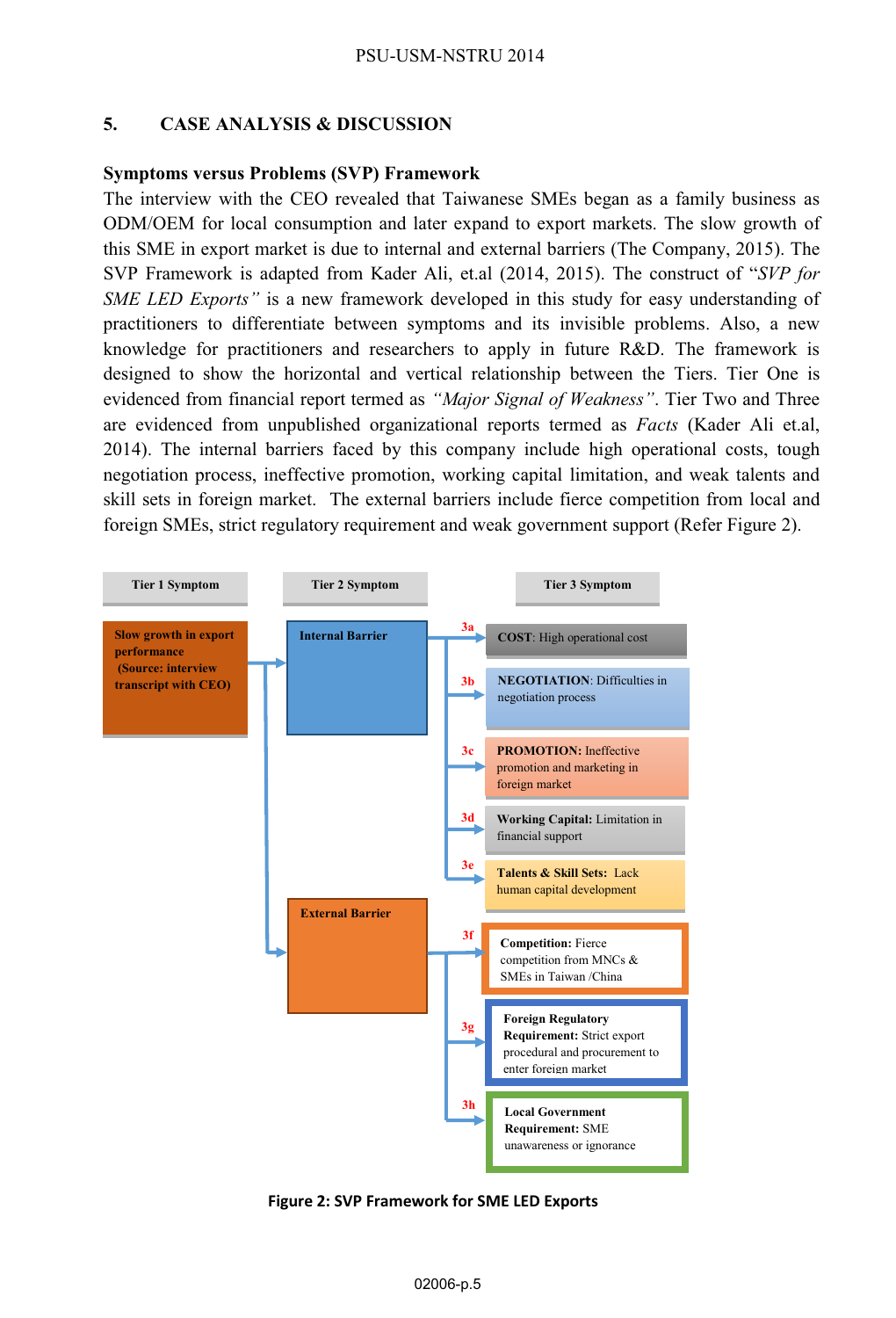### **5. CASE ANALYSIS & DISCUSSION**

#### **Symptoms versus Problems (SVP) Framework**

The interview with the CEO revealed that Taiwanese SMEs began as a family business as ODM/OEM for local consumption and later expand to export markets. The slow growth of this SME in export market is due to internal and external barriers (The Company, 2015). The SVP Framework is adapted from Kader Ali, et.al (2014, 2015). The construct of "*SVP for SME LED Exports"* is a new framework developed in this study for easy understanding of practitioners to differentiate between symptoms and its invisible problems. Also, a new knowledge for practitioners and researchers to apply in future R&D. The framework is designed to show the horizontal and vertical relationship between the Tiers. Tier One is evidenced from financial report termed as *"Major Signal of Weakness"*. Tier Two and Three are evidenced from unpublished organizational reports termed as *Facts* (Kader Ali et.al, 2014). The internal barriers faced by this company include high operational costs, tough negotiation process, ineffective promotion, working capital limitation, and weak talents and skill sets in foreign market. The external barriers include fierce competition from local and foreign SMEs, strict regulatory requirement and weak government support (Refer Figure 2).



**Figure 2: SVP Framework for SME LED Exports**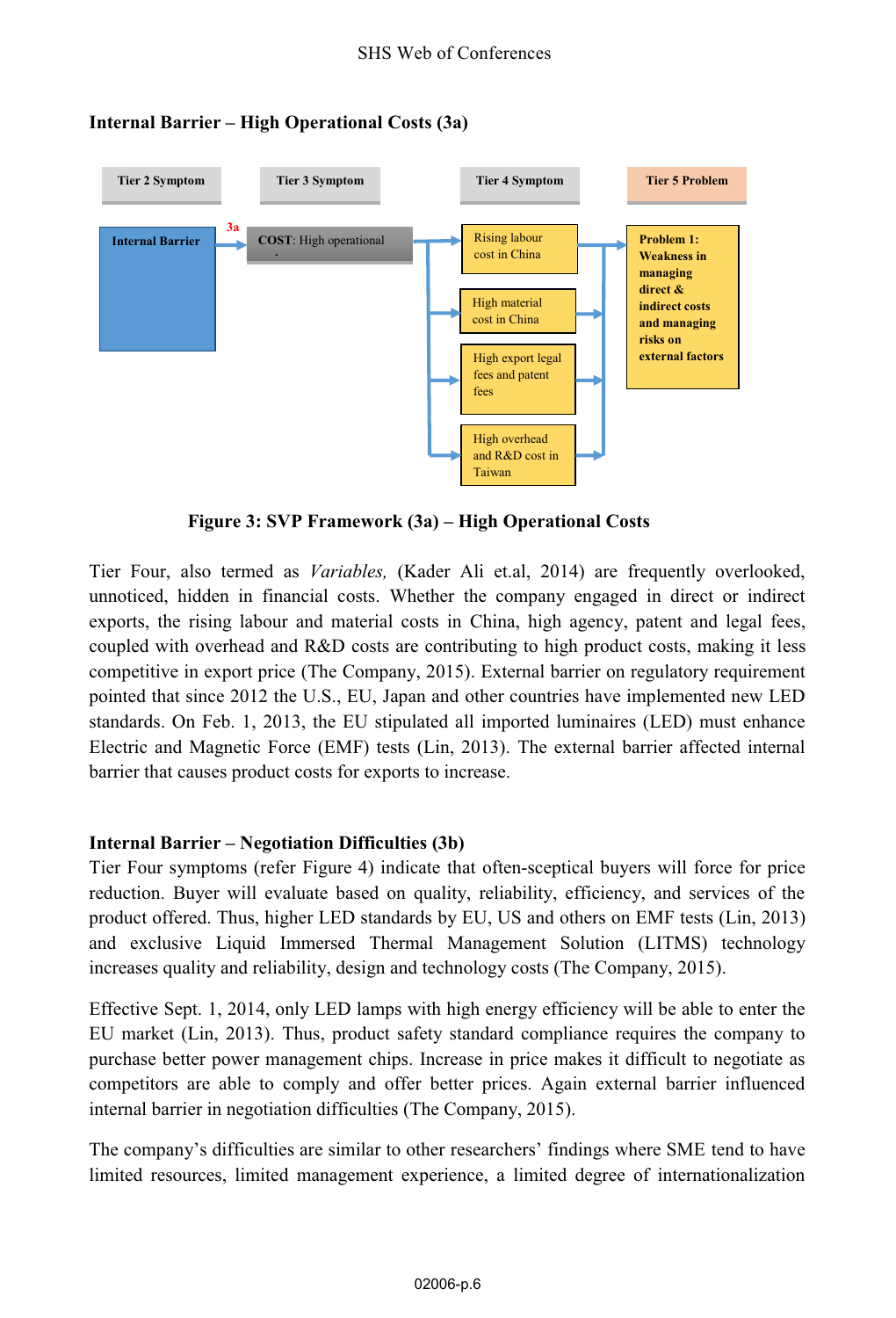

### **Internal Barrier – High Operational Costs (3a)**

**Figure 3: SVP Framework (3a) – High Operational Costs** 

Tier Four, also termed as *Variables,* (Kader Ali et.al, 2014) are frequently overlooked, unnoticed, hidden in financial costs. Whether the company engaged in direct or indirect exports, the rising labour and material costs in China, high agency, patent and legal fees, coupled with overhead and R&D costs are contributing to high product costs, making it less competitive in export price (The Company, 2015). External barrier on regulatory requirement pointed that since 2012 the U.S., EU, Japan and other countries have implemented new LED standards. On Feb. 1, 2013, the EU stipulated all imported luminaires (LED) must enhance Electric and Magnetic Force (EMF) tests (Lin, 2013). The external barrier affected internal barrier that causes product costs for exports to increase.

#### **Internal Barrier – Negotiation Difficulties (3b)**

Tier Four symptoms (refer Figure 4) indicate that often-sceptical buyers will force for price reduction. Buyer will evaluate based on quality, reliability, efficiency, and services of the product offered. Thus, higher LED standards by EU, US and others on EMF tests (Lin, 2013) and exclusive Liquid Immersed Thermal Management Solution (LITMS) technology increases quality and reliability, design and technology costs (The Company, 2015).

Effective Sept. 1, 2014, only LED lamps with high energy efficiency will be able to enter the EU market (Lin, 2013). Thus, product safety standard compliance requires the company to purchase better power management chips. Increase in price makes it difficult to negotiate as competitors are able to comply and offer better prices. Again external barrier influenced internal barrier in negotiation difficulties (The Company, 2015).

The company's difficulties are similar to other researchers' findings where SME tend to have limited resources, limited management experience, a limited degree of internationalization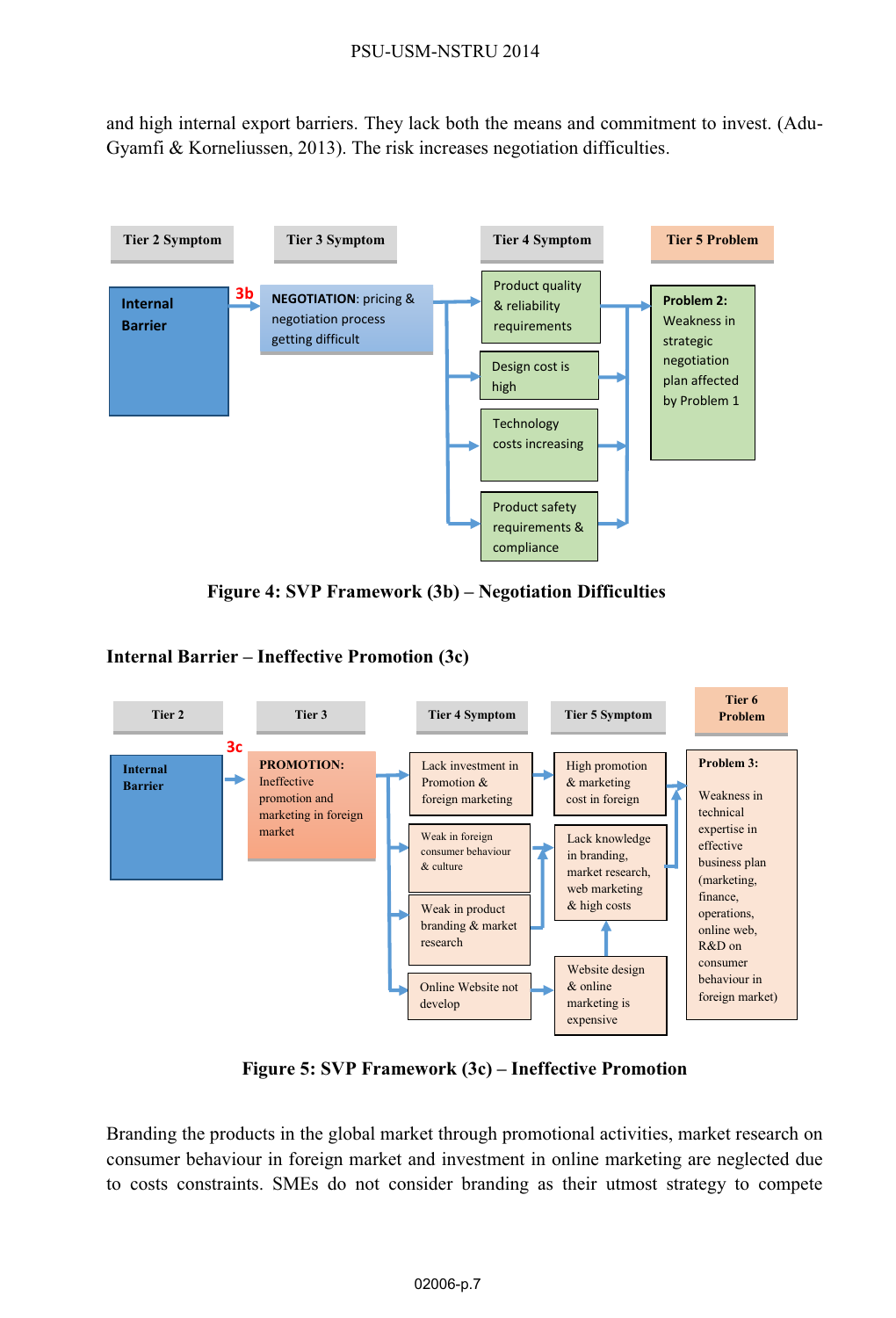and high internal export barriers. They lack both the means and commitment to invest. (Adu-Gyamfi & Korneliussen, 2013). The risk increases negotiation difficulties.



**Figure 4: SVP Framework (3b) – Negotiation Difficulties** 

# **Internal Barrier – Ineffective Promotion (3c)**



**Figure 5: SVP Framework (3c) – Ineffective Promotion** 

Branding the products in the global market through promotional activities, market research on consumer behaviour in foreign market and investment in online marketing are neglected due to costs constraints. SMEs do not consider branding as their utmost strategy to compete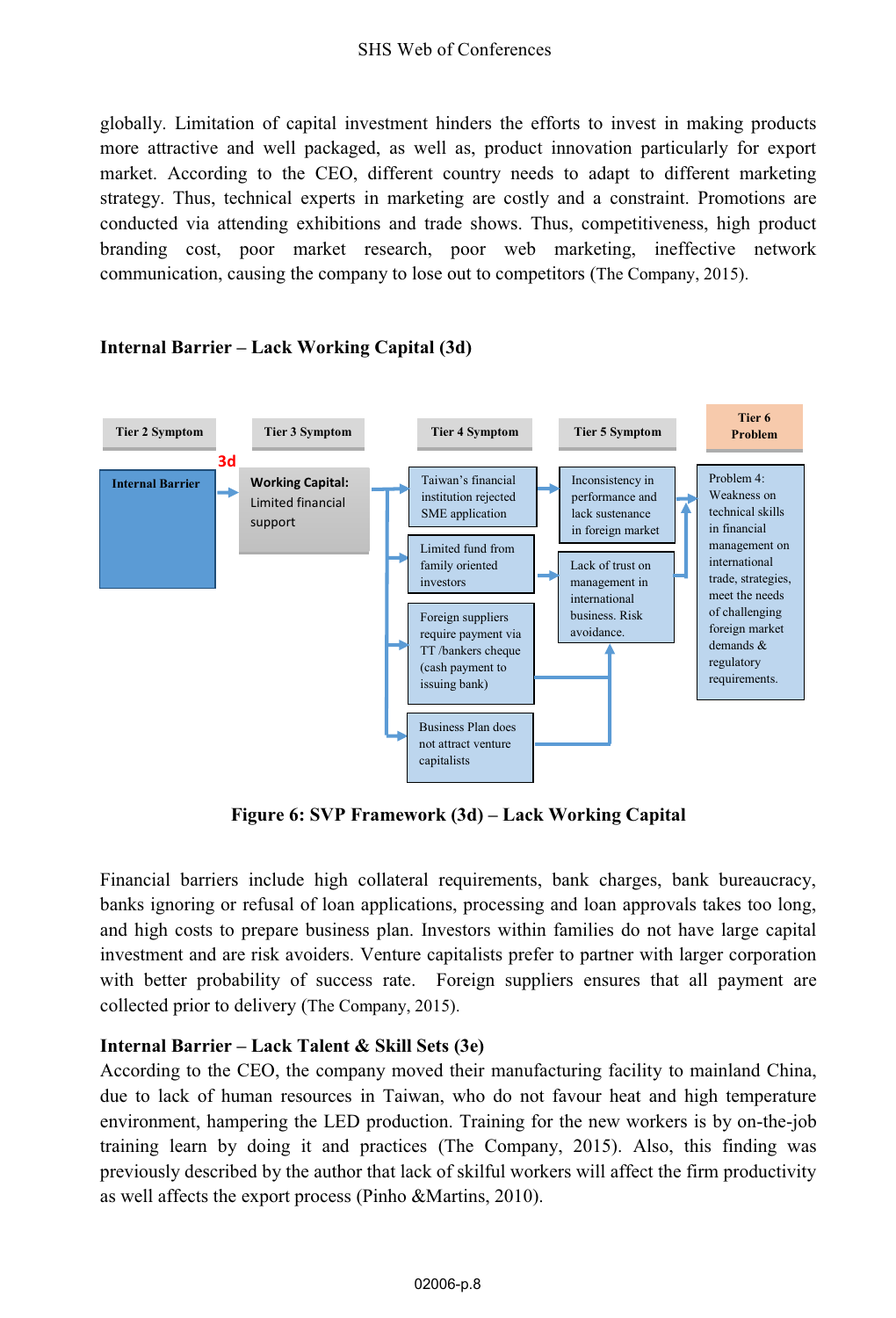globally. Limitation of capital investment hinders the efforts to invest in making products more attractive and well packaged, as well as, product innovation particularly for export market. According to the CEO, different country needs to adapt to different marketing strategy. Thus, technical experts in marketing are costly and a constraint. Promotions are conducted via attending exhibitions and trade shows. Thus, competitiveness, high product branding cost, poor market research, poor web marketing, ineffective network communication, causing the company to lose out to competitors (The Company, 2015).



# **Internal Barrier – Lack Working Capital (3d)**

**Figure 6: SVP Framework (3d) – Lack Working Capital** 

Financial barriers include high collateral requirements, bank charges, bank bureaucracy, banks ignoring or refusal of loan applications, processing and loan approvals takes too long, and high costs to prepare business plan. Investors within families do not have large capital investment and are risk avoiders. Venture capitalists prefer to partner with larger corporation with better probability of success rate. Foreign suppliers ensures that all payment are collected prior to delivery (The Company, 2015).

# **Internal Barrier – Lack Talent & Skill Sets (3e)**

According to the CEO, the company moved their manufacturing facility to mainland China, due to lack of human resources in Taiwan, who do not favour heat and high temperature environment, hampering the LED production. Training for the new workers is by on-the-job training learn by doing it and practices (The Company, 2015). Also, this finding was previously described by the author that lack of skilful workers will affect the firm productivity as well affects the export process (Pinho &Martins, 2010).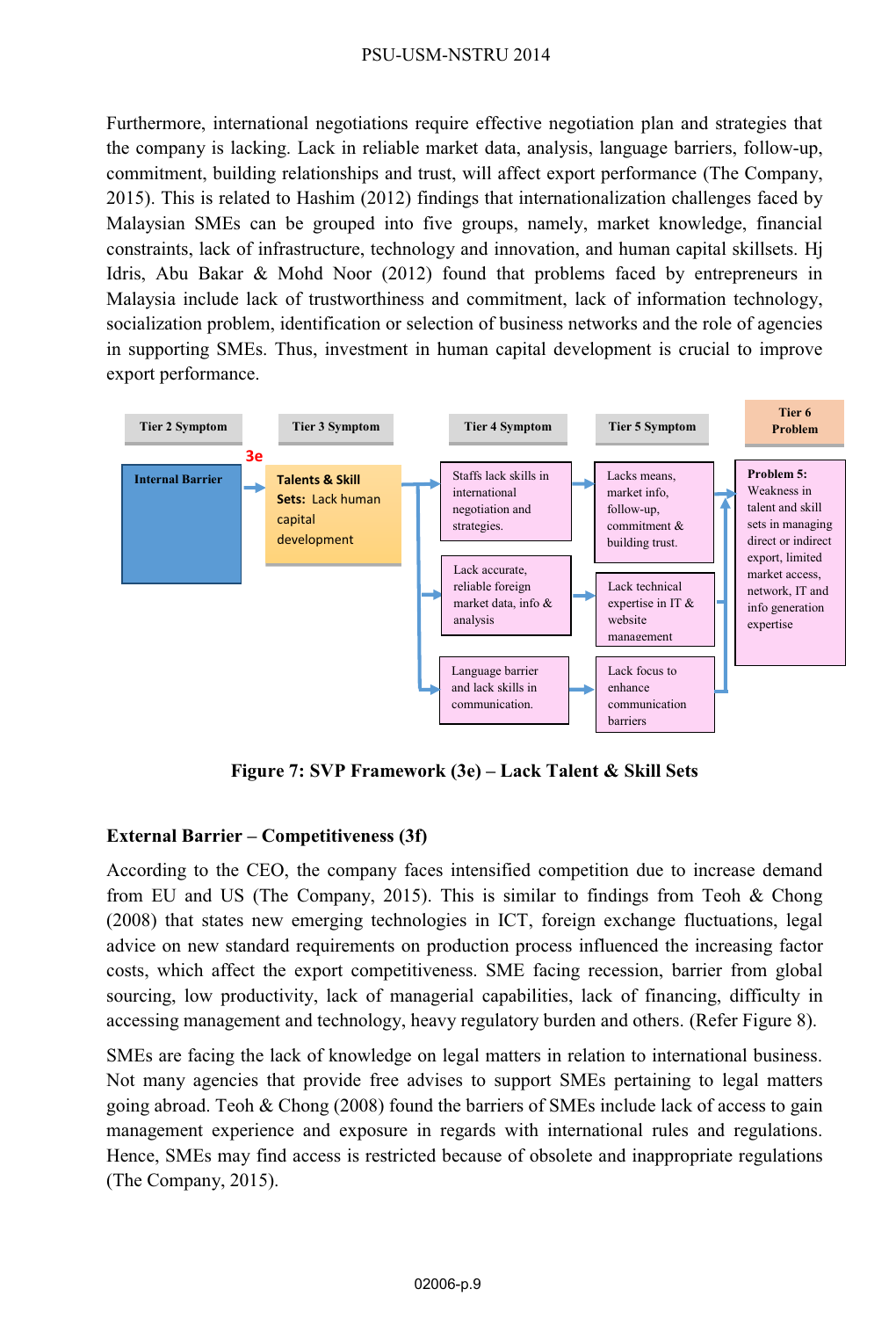#### PSU-USM-NSTRU 2014

Furthermore, international negotiations require effective negotiation plan and strategies that the company is lacking. Lack in reliable market data, analysis, language barriers, follow-up, commitment, building relationships and trust, will affect export performance (The Company, 2015). This is related to Hashim (2012) findings that internationalization challenges faced by Malaysian SMEs can be grouped into five groups, namely, market knowledge, financial constraints, lack of infrastructure, technology and innovation, and human capital skillsets. Hj Idris, Abu Bakar & Mohd Noor (2012) found that problems faced by entrepreneurs in Malaysia include lack of trustworthiness and commitment, lack of information technology, socialization problem, identification or selection of business networks and the role of agencies in supporting SMEs. Thus, investment in human capital development is crucial to improve export performance.



**Figure 7: SVP Framework (3e) – Lack Talent & Skill Sets** 

### **External Barrier – Competitiveness (3f)**

According to the CEO, the company faces intensified competition due to increase demand from EU and US (The Company, 2015). This is similar to findings from Teoh & Chong (2008) that states new emerging technologies in ICT, foreign exchange fluctuations, legal advice on new standard requirements on production process influenced the increasing factor costs, which affect the export competitiveness. SME facing recession, barrier from global sourcing, low productivity, lack of managerial capabilities, lack of financing, difficulty in accessing management and technology, heavy regulatory burden and others. (Refer Figure 8).

SMEs are facing the lack of knowledge on legal matters in relation to international business. Not many agencies that provide free advises to support SMEs pertaining to legal matters going abroad. Teoh & Chong (2008) found the barriers of SMEs include lack of access to gain management experience and exposure in regards with international rules and regulations. Hence, SMEs may find access is restricted because of obsolete and inappropriate regulations (The Company, 2015).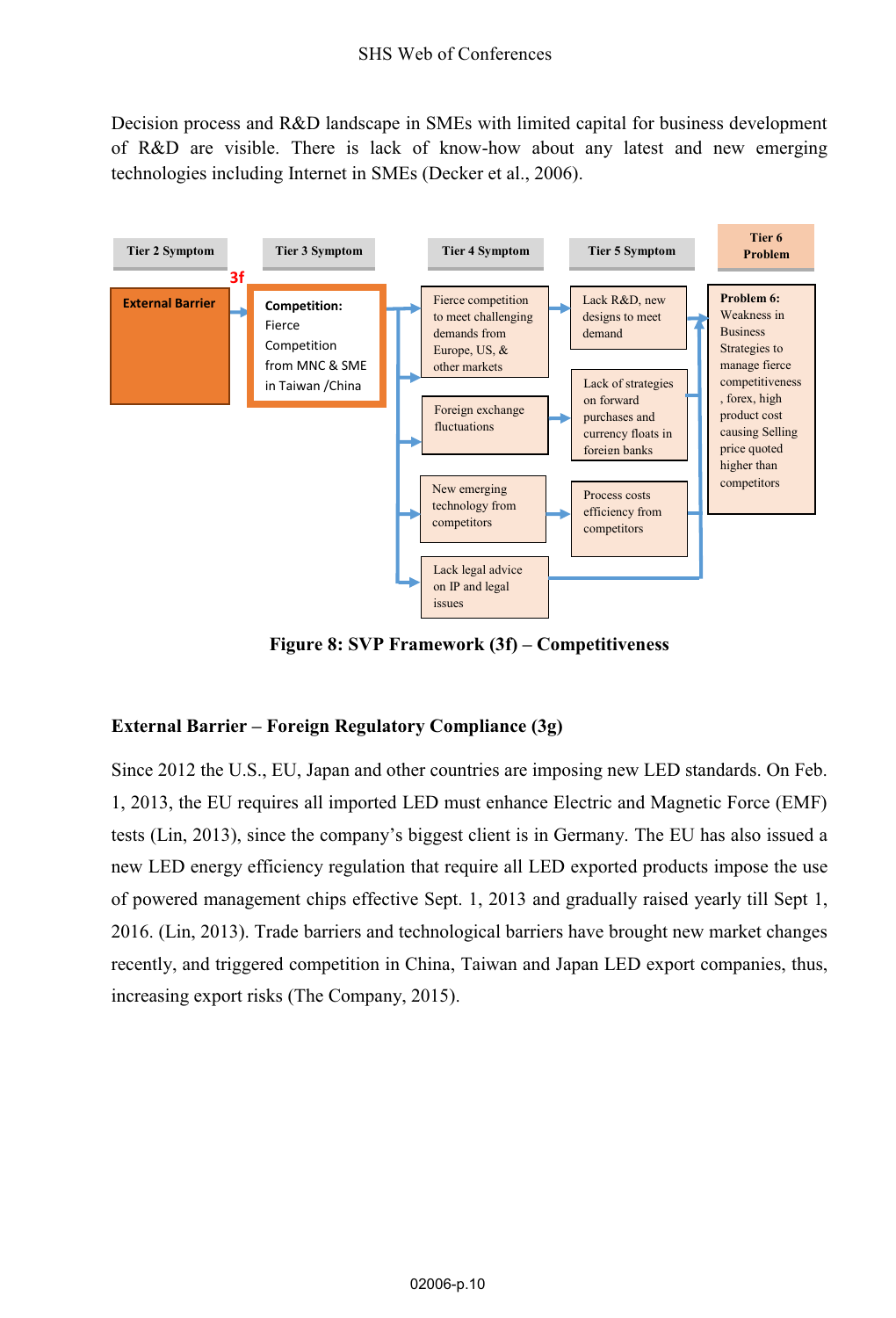Decision process and R&D landscape in SMEs with limited capital for business development of R&D are visible. There is lack of know-how about any latest and new emerging technologies including Internet in SMEs (Decker et al., 2006).



**Figure 8: SVP Framework (3f) – Competitiveness** 

# **External Barrier – Foreign Regulatory Compliance (3g)**

Since 2012 the U.S., EU, Japan and other countries are imposing new LED standards. On Feb. 1, 2013, the EU requires all imported LED must enhance Electric and Magnetic Force (EMF) tests (Lin, 2013), since the company's biggest client is in Germany. The EU has also issued a new LED energy efficiency regulation that require all LED exported products impose the use of powered management chips effective Sept. 1, 2013 and gradually raised yearly till Sept 1, 2016. (Lin, 2013). Trade barriers and technological barriers have brought new market changes recently, and triggered competition in China, Taiwan and Japan LED export companies, thus, increasing export risks (The Company, 2015).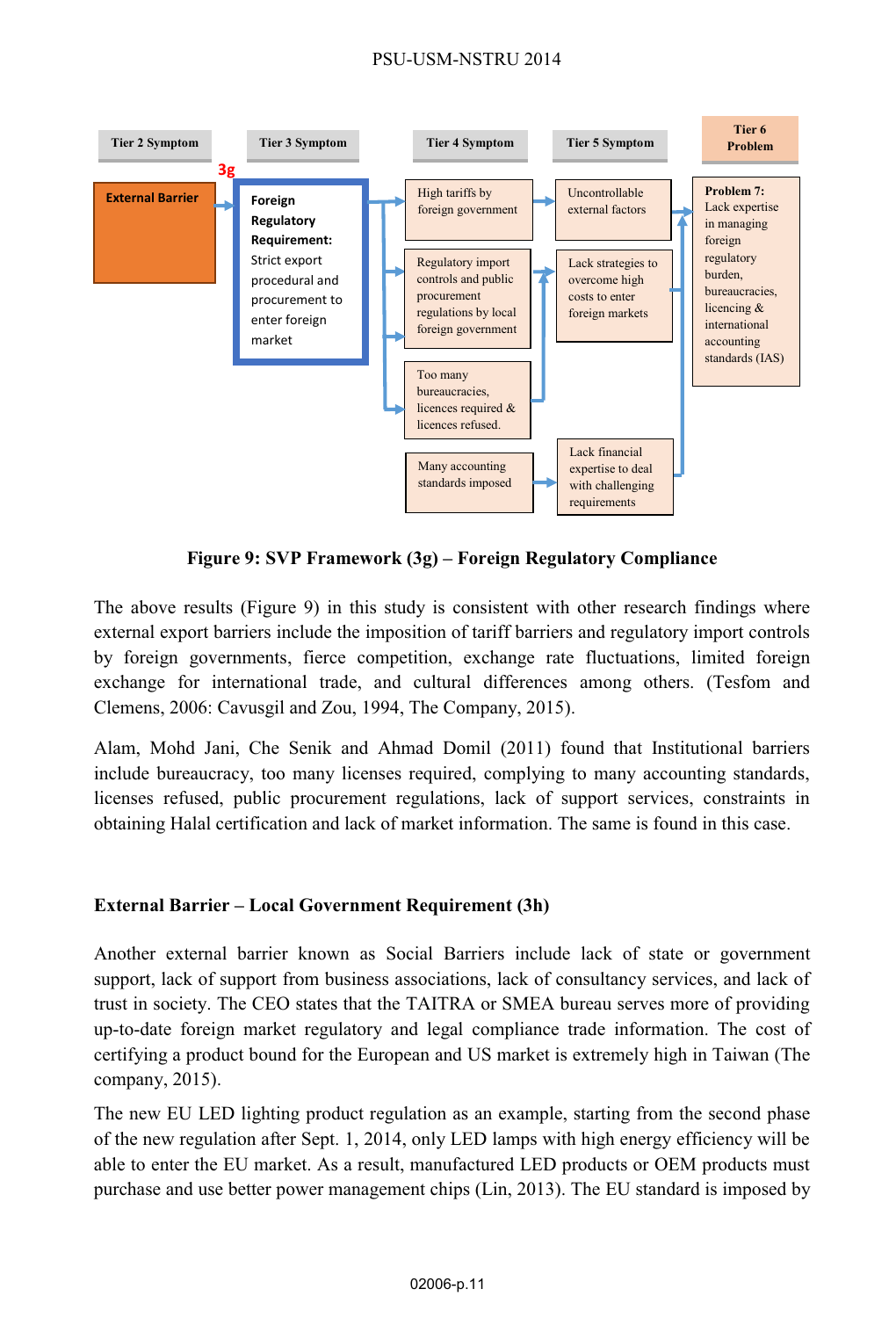#### PSU-USM-NSTRU 2014



**Figure 9: SVP Framework (3g) – Foreign Regulatory Compliance** 

The above results (Figure 9) in this study is consistent with other research findings where external export barriers include the imposition of tariff barriers and regulatory import controls by foreign governments, fierce competition, exchange rate fluctuations, limited foreign exchange for international trade, and cultural differences among others. (Tesfom and Clemens, 2006: Cavusgil and Zou, 1994, The Company, 2015).

Alam, Mohd Jani, Che Senik and Ahmad Domil (2011) found that Institutional barriers include bureaucracy, too many licenses required, complying to many accounting standards, licenses refused, public procurement regulations, lack of support services, constraints in obtaining Halal certification and lack of market information. The same is found in this case.

# **External Barrier – Local Government Requirement (3h)**

Another external barrier known as Social Barriers include lack of state or government support, lack of support from business associations, lack of consultancy services, and lack of trust in society. The CEO states that the TAITRA or SMEA bureau serves more of providing up-to-date foreign market regulatory and legal compliance trade information. The cost of certifying a product bound for the European and US market is extremely high in Taiwan (The company, 2015).

The new EU LED lighting product regulation as an example, starting from the second phase of the new regulation after Sept. 1, 2014, only LED lamps with high energy efficiency will be able to enter the EU market. As a result, manufactured LED products or OEM products must purchase and use better power management chips (Lin, 2013). The EU standard is imposed by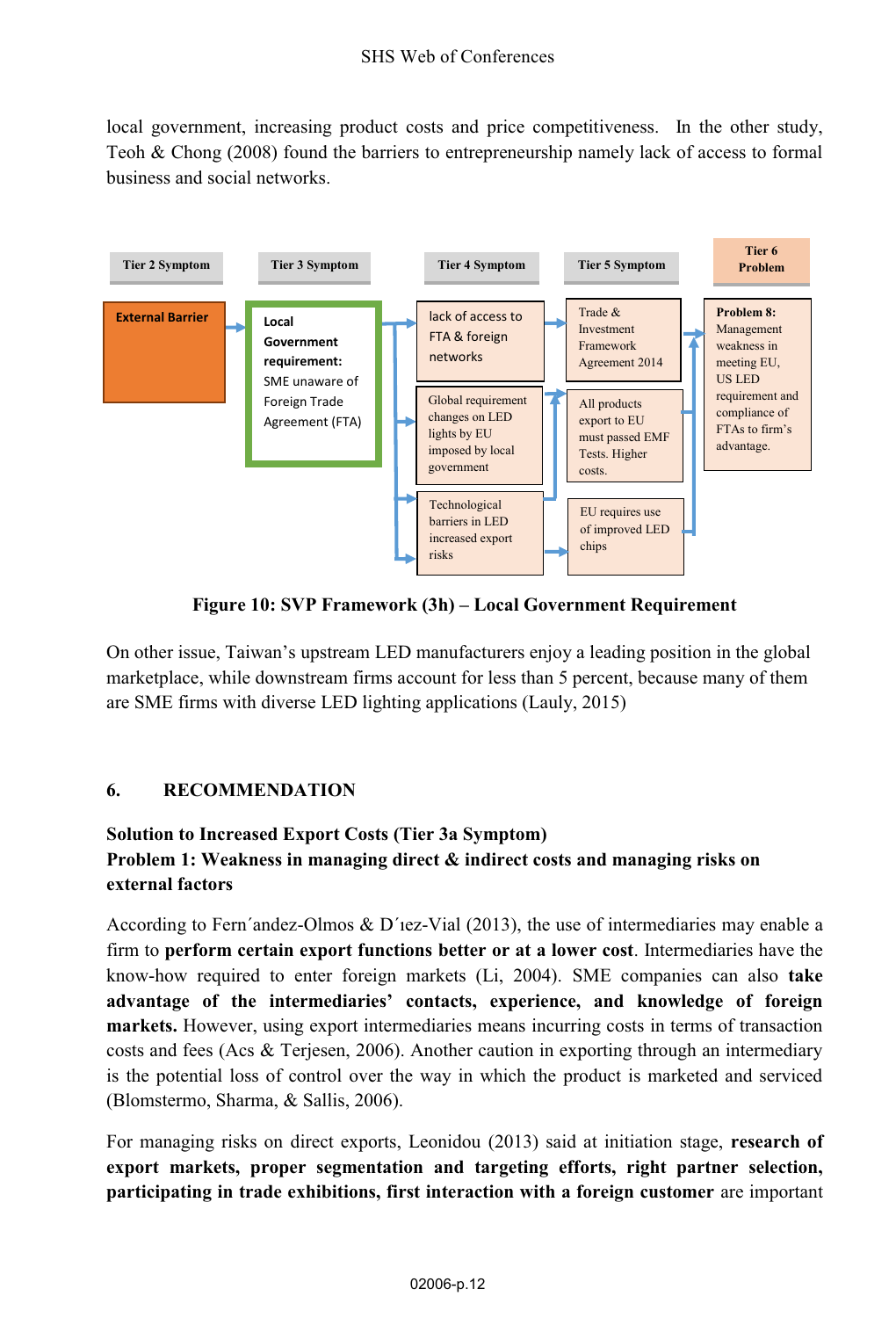local government, increasing product costs and price competitiveness. In the other study, Teoh & Chong (2008) found the barriers to entrepreneurship namely lack of access to formal business and social networks.



**Figure 10: SVP Framework (3h) – Local Government Requirement** 

On other issue, Taiwan's upstream LED manufacturers enjoy a leading position in the global marketplace, while downstream firms account for less than 5 percent, because many of them are SME firms with diverse LED lighting applications (Lauly, 2015)

# **6. RECOMMENDATION**

# **Solution to Increased Export Costs (Tier 3a Symptom) Problem 1: Weakness in managing direct & indirect costs and managing risks on external factors**

According to Fern´andez-Olmos  $&$  D´ıez-Vial (2013), the use of intermediaries may enable a firm to **perform certain export functions better or at a lower cost**. Intermediaries have the know-how required to enter foreign markets (Li, 2004). SME companies can also **take advantage of the intermediaries' contacts, experience, and knowledge of foreign markets.** However, using export intermediaries means incurring costs in terms of transaction costs and fees (Acs & Terjesen, 2006). Another caution in exporting through an intermediary is the potential loss of control over the way in which the product is marketed and serviced (Blomstermo, Sharma, & Sallis, 2006).

For managing risks on direct exports, Leonidou (2013) said at initiation stage, **research of export markets, proper segmentation and targeting efforts, right partner selection, participating in trade exhibitions, first interaction with a foreign customer** are important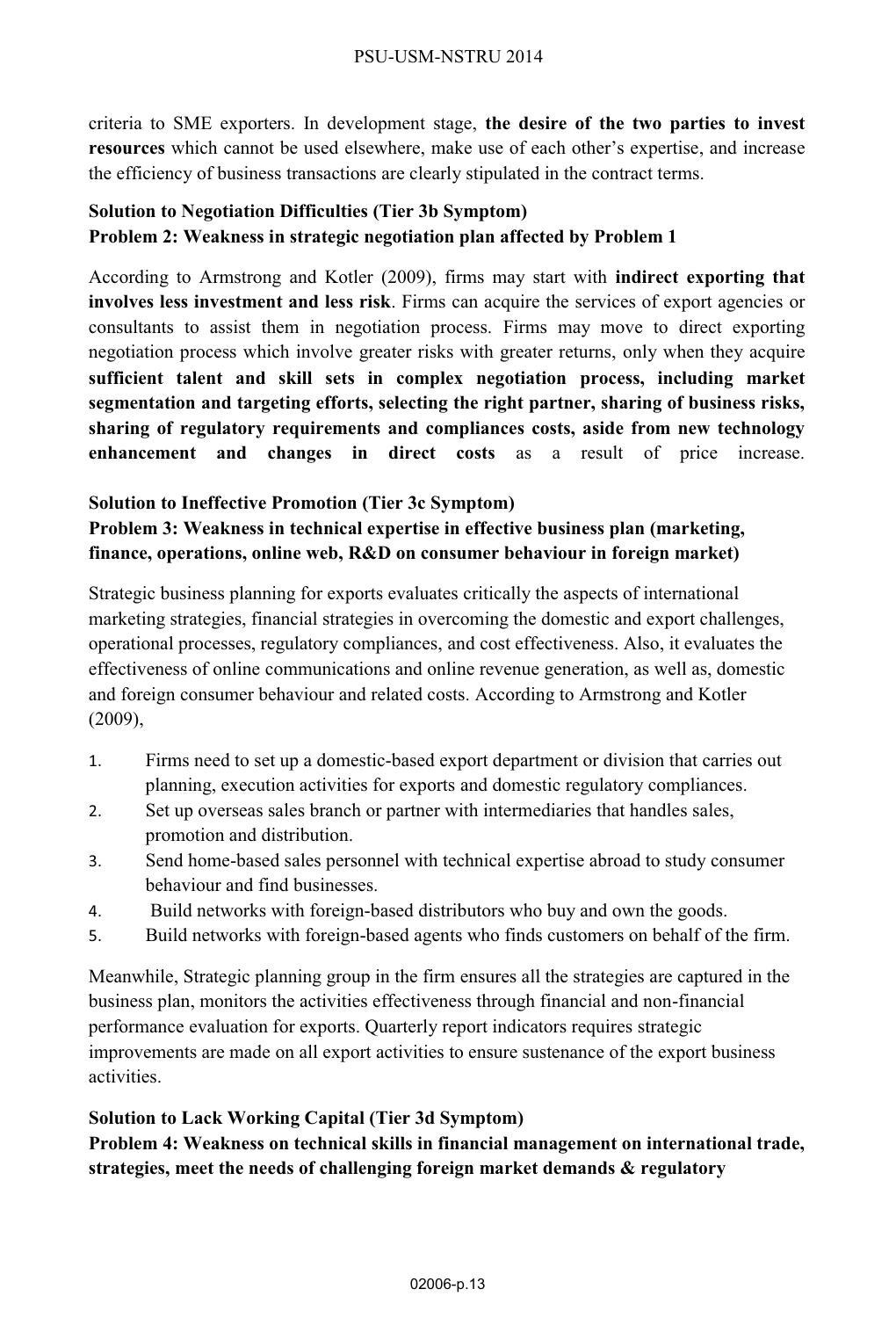criteria to SME exporters. In development stage, **the desire of the two parties to invest resources** which cannot be used elsewhere, make use of each other's expertise, and increase the efficiency of business transactions are clearly stipulated in the contract terms.

# **Solution to Negotiation Difficulties (Tier 3b Symptom) Problem 2: Weakness in strategic negotiation plan affected by Problem 1**

According to Armstrong and Kotler (2009), firms may start with **indirect exporting that involves less investment and less risk**. Firms can acquire the services of export agencies or consultants to assist them in negotiation process. Firms may move to direct exporting negotiation process which involve greater risks with greater returns, only when they acquire **sufficient talent and skill sets in complex negotiation process, including market segmentation and targeting efforts, selecting the right partner, sharing of business risks, sharing of regulatory requirements and compliances costs, aside from new technology enhancement and changes in direct costs** as a result of price increase.

# **Solution to Ineffective Promotion (Tier 3c Symptom) Problem 3: Weakness in technical expertise in effective business plan (marketing, finance, operations, online web, R&D on consumer behaviour in foreign market)**

Strategic business planning for exports evaluates critically the aspects of international marketing strategies, financial strategies in overcoming the domestic and export challenges, operational processes, regulatory compliances, and cost effectiveness. Also, it evaluates the effectiveness of online communications and online revenue generation, as well as, domestic and foreign consumer behaviour and related costs. According to Armstrong and Kotler (2009),

- 1. Firms need to set up a domestic-based export department or division that carries out planning, execution activities for exports and domestic regulatory compliances.
- 2. Set up overseas sales branch or partner with intermediaries that handles sales, promotion and distribution.
- 3. Send home-based sales personnel with technical expertise abroad to study consumer behaviour and find businesses.
- 4. Build networks with foreign-based distributors who buy and own the goods.
- 5. Build networks with foreign-based agents who finds customers on behalf of the firm.

Meanwhile, Strategic planning group in the firm ensures all the strategies are captured in the business plan, monitors the activities effectiveness through financial and non-financial performance evaluation for exports. Quarterly report indicators requires strategic improvements are made on all export activities to ensure sustenance of the export business activities.

### **Solution to Lack Working Capital (Tier 3d Symptom)**

**Problem 4: Weakness on technical skills in financial management on international trade, strategies, meet the needs of challenging foreign market demands & regulatory**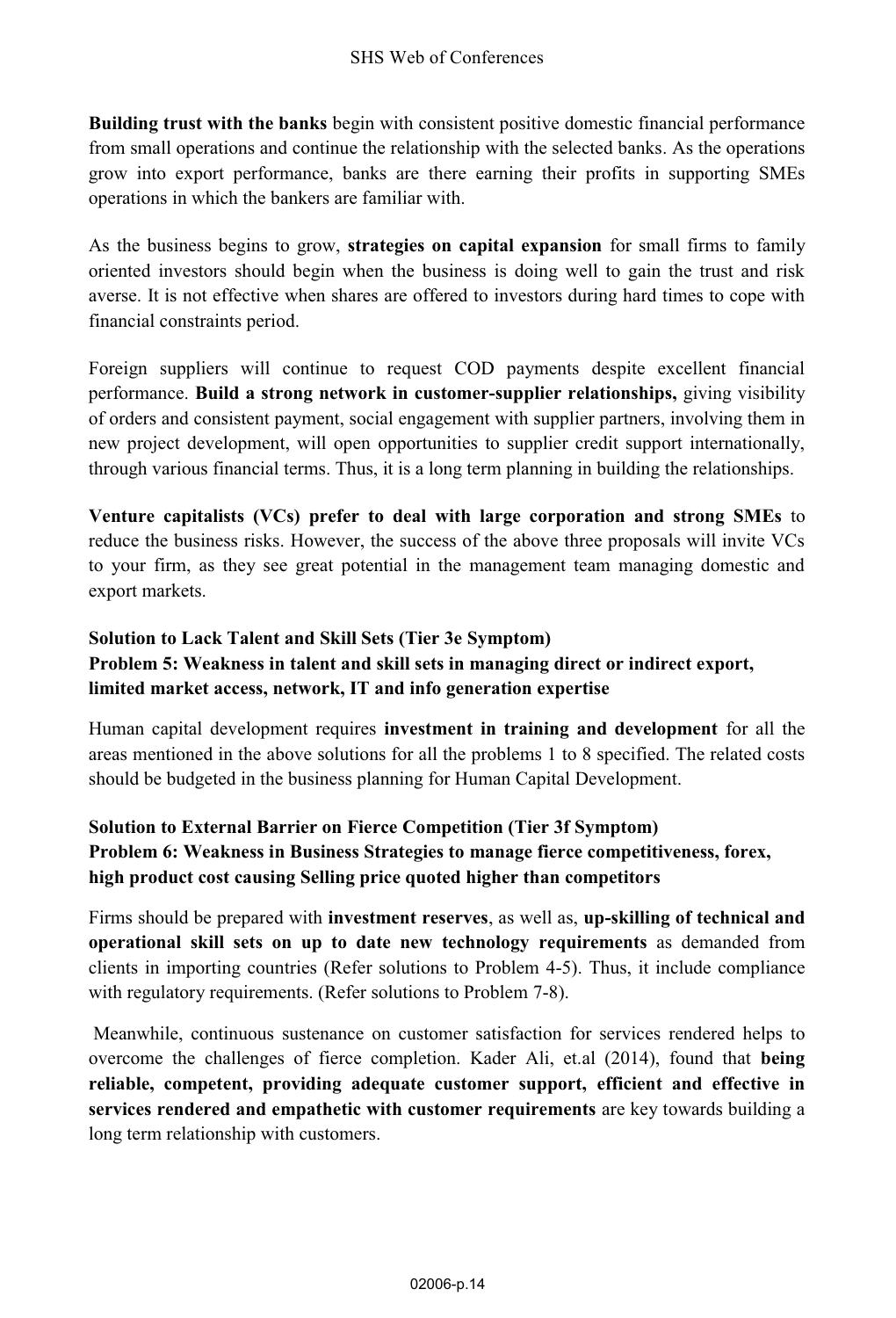**Building trust with the banks** begin with consistent positive domestic financial performance from small operations and continue the relationship with the selected banks. As the operations grow into export performance, banks are there earning their profits in supporting SMEs operations in which the bankers are familiar with.

As the business begins to grow, **strategies on capital expansion** for small firms to family oriented investors should begin when the business is doing well to gain the trust and risk averse. It is not effective when shares are offered to investors during hard times to cope with financial constraints period.

Foreign suppliers will continue to request COD payments despite excellent financial performance. **Build a strong network in customer-supplier relationships,** giving visibility of orders and consistent payment, social engagement with supplier partners, involving them in new project development, will open opportunities to supplier credit support internationally, through various financial terms. Thus, it is a long term planning in building the relationships.

**Venture capitalists (VCs) prefer to deal with large corporation and strong SMEs** to reduce the business risks. However, the success of the above three proposals will invite VCs to your firm, as they see great potential in the management team managing domestic and export markets.

# **Solution to Lack Talent and Skill Sets (Tier 3e Symptom) Problem 5: Weakness in talent and skill sets in managing direct or indirect export, limited market access, network, IT and info generation expertise**

Human capital development requires **investment in training and development** for all the areas mentioned in the above solutions for all the problems 1 to 8 specified. The related costs should be budgeted in the business planning for Human Capital Development.

# **Solution to External Barrier on Fierce Competition (Tier 3f Symptom) Problem 6: Weakness in Business Strategies to manage fierce competitiveness, forex, high product cost causing Selling price quoted higher than competitors**

Firms should be prepared with **investment reserves**, as well as, **up-skilling of technical and operational skill sets on up to date new technology requirements** as demanded from clients in importing countries (Refer solutions to Problem 4-5). Thus, it include compliance with regulatory requirements. (Refer solutions to Problem 7-8).

 Meanwhile, continuous sustenance on customer satisfaction for services rendered helps to overcome the challenges of fierce completion. Kader Ali, et.al (2014), found that **being reliable, competent, providing adequate customer support, efficient and effective in services rendered and empathetic with customer requirements** are key towards building a long term relationship with customers.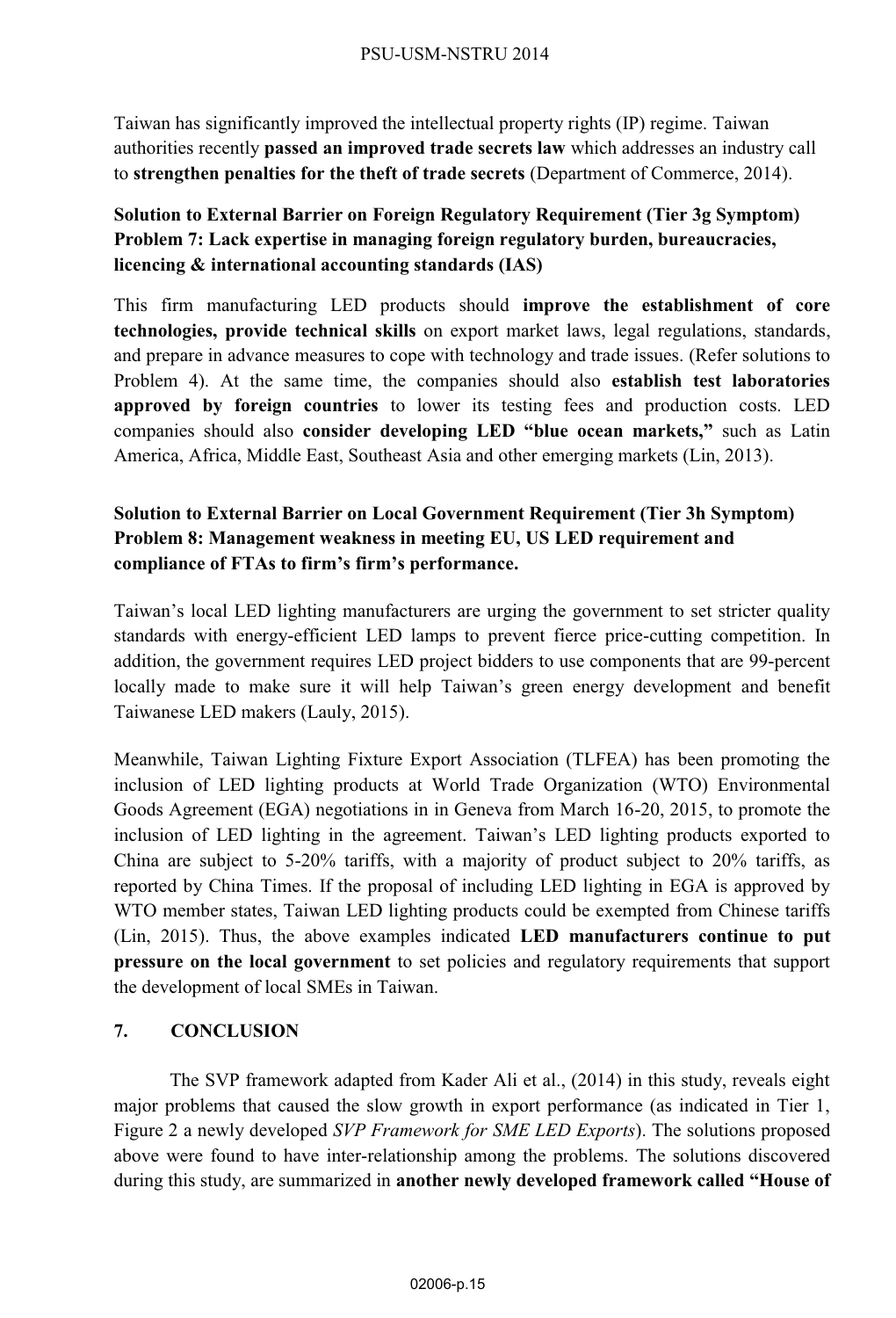Taiwan has significantly improved the intellectual property rights (IP) regime. Taiwan authorities recently **passed an improved trade secrets law** which addresses an industry call to **strengthen penalties for the theft of trade secrets** (Department of Commerce, 2014).

# **Solution to External Barrier on Foreign Regulatory Requirement (Tier 3g Symptom) Problem 7: Lack expertise in managing foreign regulatory burden, bureaucracies, licencing & international accounting standards (IAS)**

This firm manufacturing LED products should **improve the establishment of core technologies, provide technical skills** on export market laws, legal regulations, standards, and prepare in advance measures to cope with technology and trade issues. (Refer solutions to Problem 4). At the same time, the companies should also **establish test laboratories approved by foreign countries** to lower its testing fees and production costs. LED companies should also **consider developing LED "blue ocean markets,"** such as Latin America, Africa, Middle East, Southeast Asia and other emerging markets (Lin, 2013).

# **Solution to External Barrier on Local Government Requirement (Tier 3h Symptom) Problem 8: Management weakness in meeting EU, US LED requirement and compliance of FTAs to firm's firm's performance.**

Taiwan's local LED lighting manufacturers are urging the government to set stricter quality standards with energy-efficient LED lamps to prevent fierce price-cutting competition. In addition, the government requires LED project bidders to use components that are 99-percent locally made to make sure it will help Taiwan's green energy development and benefit Taiwanese LED makers (Lauly, 2015).

Meanwhile, Taiwan Lighting Fixture Export Association (TLFEA) has been promoting the inclusion of LED lighting products at World Trade Organization (WTO) Environmental Goods Agreement (EGA) negotiations in in Geneva from March 16-20, 2015, to promote the inclusion of LED lighting in the agreement. Taiwan's LED lighting products exported to China are subject to 5-20% tariffs, with a majority of product subject to 20% tariffs, as reported by China Times. If the proposal of including LED lighting in EGA is approved by WTO member states, Taiwan LED lighting products could be exempted from Chinese tariffs (Lin, 2015). Thus, the above examples indicated **LED manufacturers continue to put pressure on the local government** to set policies and regulatory requirements that support the development of local SMEs in Taiwan.

# **7. CONCLUSION**

The SVP framework adapted from Kader Ali et al., (2014) in this study, reveals eight major problems that caused the slow growth in export performance (as indicated in Tier 1, Figure 2 a newly developed *SVP Framework for SME LED Exports*). The solutions proposed above were found to have inter-relationship among the problems. The solutions discovered during this study, are summarized in **another newly developed framework called "House of**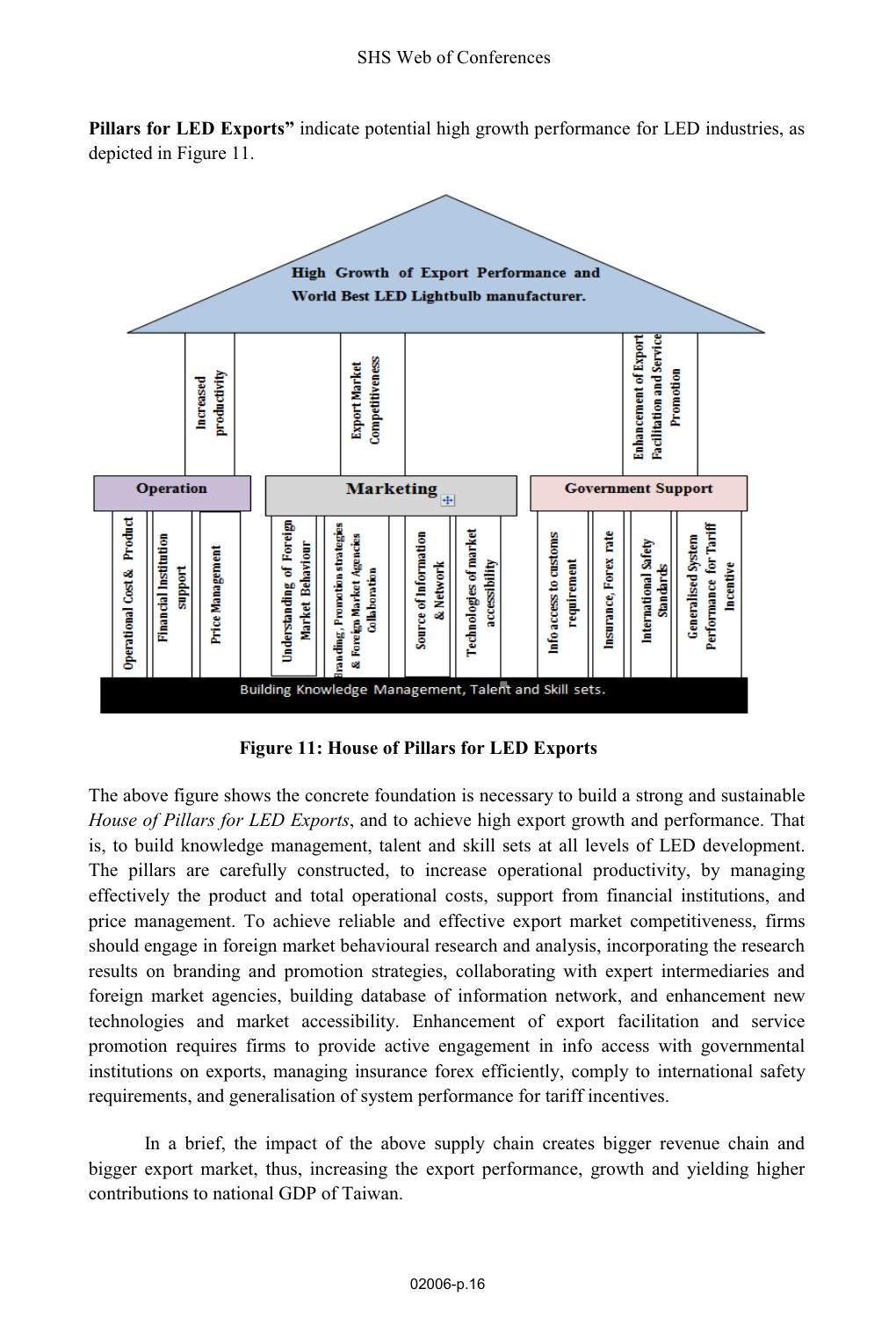**Pillars for LED Exports"** indicate potential high growth performance for LED industries, as depicted in Figure 11.



**Figure 11: House of Pillars for LED Exports** 

The above figure shows the concrete foundation is necessary to build a strong and sustainable *House of Pillars for LED Exports*, and to achieve high export growth and performance. That is, to build knowledge management, talent and skill sets at all levels of LED development. The pillars are carefully constructed, to increase operational productivity, by managing effectively the product and total operational costs, support from financial institutions, and price management. To achieve reliable and effective export market competitiveness, firms should engage in foreign market behavioural research and analysis, incorporating the research results on branding and promotion strategies, collaborating with expert intermediaries and foreign market agencies, building database of information network, and enhancement new technologies and market accessibility. Enhancement of export facilitation and service promotion requires firms to provide active engagement in info access with governmental institutions on exports, managing insurance forex efficiently, comply to international safety requirements, and generalisation of system performance for tariff incentives.

In a brief, the impact of the above supply chain creates bigger revenue chain and bigger export market, thus, increasing the export performance, growth and yielding higher contributions to national GDP of Taiwan.